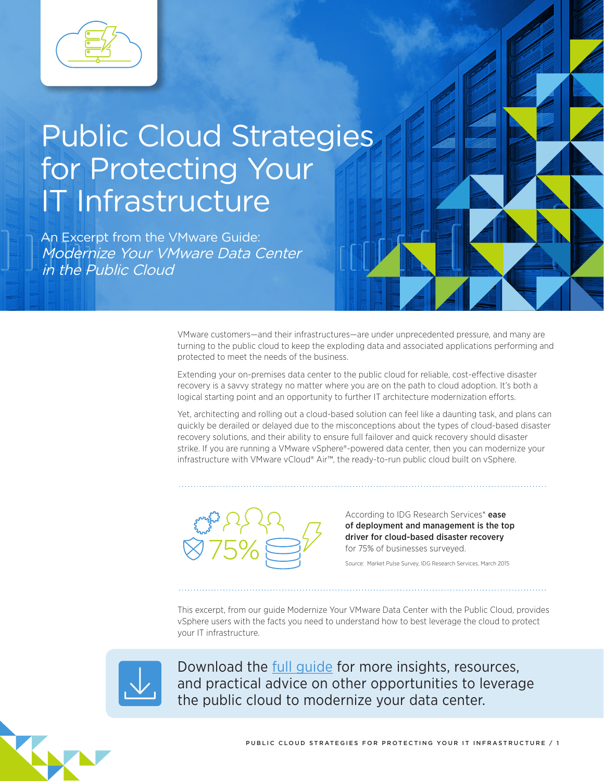

# Public Cloud Strategies for Protecting Your IT Infrastructure

An Excerpt from the VMware Guide: Modernize Your VMware Data Center in the Public Cloud

> VMware customers—and their infrastructures—are under unprecedented pressure, and many are turning to the public cloud to keep the exploding data and associated applications performing and protected to meet the needs of the business.

Extending your on-premises data center to the public cloud for reliable, cost-efective disaster recovery is a savvy strategy no matter where you are on the path to cloud adoption. It's both a logical starting point and an opportunity to further IT architecture modernization efforts.

Yet, architecting and rolling out a cloud-based solution can feel like a daunting task, and plans can quickly be derailed or delayed due to the misconceptions about the types of cloud-based disaster recovery solutions, and their ability to ensure full failover and quick recovery should disaster strike. If you are running a VMware vSphere®-powered data center, then you can modernize your infrastructure with VMware vCloud® Air™, the ready-to-run public cloud built on vSphere.



According to IDG Research Services\* ease of deployment and management is the top driver for cloud-based disaster recovery for 75% of businesses surveyed.

Source: Market Pulse Survey, IDG Research Services, March 2015

This excerpt, from our guide Modernize Your VMware Data Center with the Public Cloud, provides vSphere users with the facts you need to understand how to best leverage the cloud to protect your IT infrastructure.



Download the [full guide](http://learn.vmware.com/ONECLOUD_WW_VCA_16Q2_GATECON_SEM_DEMAN_37278_REG?touch=1&cid=70134000001FZQj&src=sp_575f20f0e7357) for more insights, resources, and practical advice on other opportunities to leverage the public cloud to modernize your data center.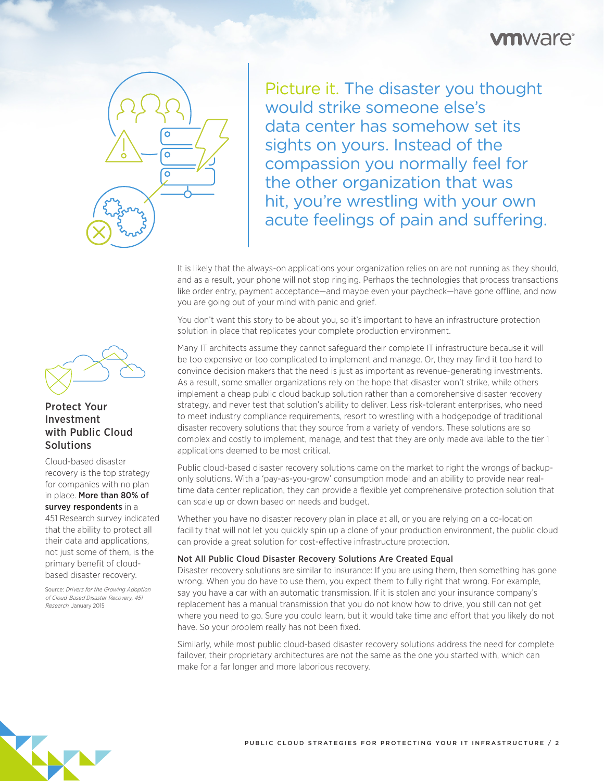### **n**ware<sup>®</sup>



Picture it. The disaster you thought would strike someone else's data center has somehow set its sights on yours. Instead of the compassion you normally feel for the other organization that was hit, you're wrestling with your own acute feelings of pain and suffering.

It is likely that the always-on applications your organization relies on are not running as they should, and as a result, your phone will not stop ringing. Perhaps the technologies that process transactions like order entry, payment acceptance—and maybe even your paycheck—have gone offline, and now you are going out of your mind with panic and grief.

You don't want this story to be about you, so it's important to have an infrastructure protection solution in place that replicates your complete production environment.

Many IT architects assume they cannot safeguard their complete IT infrastructure because it will be too expensive or too complicated to implement and manage. Or, they may find it too hard to convince decision makers that the need is just as important as revenue-generating investments. As a result, some smaller organizations rely on the hope that disaster won't strike, while others implement a cheap public cloud backup solution rather than a comprehensive disaster recovery strategy, and never test that solution's ability to deliver. Less risk-tolerant enterprises, who need to meet industry compliance requirements, resort to wrestling with a hodgepodge of traditional disaster recovery solutions that they source from a variety of vendors. These solutions are so complex and costly to implement, manage, and test that they are only made available to the tier 1 applications deemed to be most critical.

Public cloud-based disaster recovery solutions came on the market to right the wrongs of backuponly solutions. With a 'pay-as-you-grow' consumption model and an ability to provide near realtime data center replication, they can provide a flexible yet comprehensive protection solution that can scale up or down based on needs and budget.

Whether you have no disaster recovery plan in place at all, or you are relying on a co-location facility that will not let you quickly spin up a clone of your production environment, the public cloud can provide a great solution for cost-efective infrastructure protection.

#### Not All Public Cloud Disaster Recovery Solutions Are Created Equal

Disaster recovery solutions are similar to insurance: If you are using them, then something has gone wrong. When you do have to use them, you expect them to fully right that wrong. For example, say you have a car with an automatic transmission. If it is stolen and your insurance company's replacement has a manual transmission that you do not know how to drive, you still can not get where you need to go. Sure you could learn, but it would take time and efort that you likely do not have. So your problem really has not been fixed.

Similarly, while most public cloud-based disaster recovery solutions address the need for complete failover, their proprietary architectures are not the same as the one you started with, which can make for a far longer and more laborious recovery.



#### Protect Your Investment with Public Cloud Solutions

Cloud-based disaster recovery is the top strategy for companies with no plan in place. More than 80% of survey respondents in a 451 Research survey indicated that the ability to protect all their data and applications, not just some of them, is the primary benefit of cloudbased disaster recovery.

Source: [Drivers for the Growing Adoption](http://learn.vmware.com/31514_DR_vCloud_Air_Reg)  [of Cloud-Based Disaster Recovery, 451](http://learn.vmware.com/31514_DR_vCloud_Air_Reg)  Research[, January 2015](http://learn.vmware.com/31514_DR_vCloud_Air_Reg)

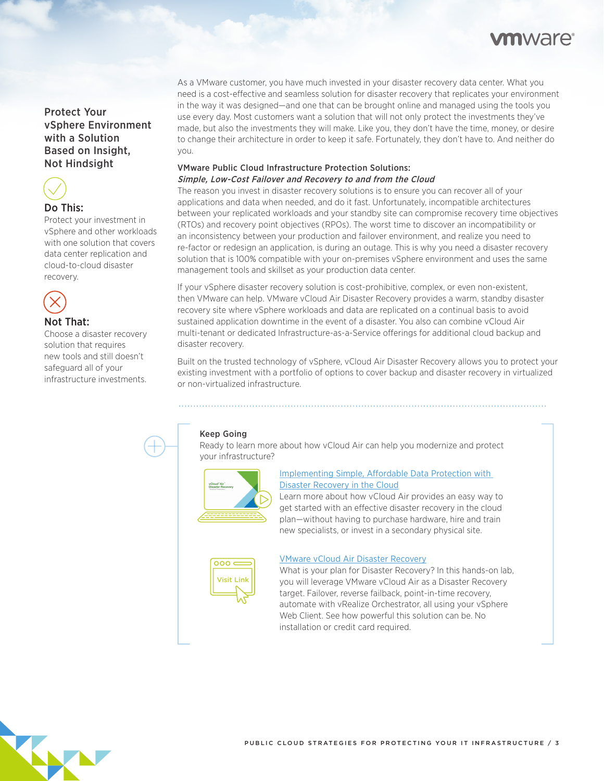## **n**ware

#### Protect Your vSphere Environment with a Solution Based on Insight, Not Hindsight



#### Do This:

Protect your investment in vSphere and other workloads with one solution that covers data center replication and cloud-to-cloud disaster recovery.



#### Not That:

Choose a disaster recovery solution that requires new tools and still doesn't safeguard all of your infrastructure investments.

As a VMware customer, you have much invested in your disaster recovery data center. What you need is a cost-efective and seamless solution for disaster recovery that replicates your environment in the way it was designed—and one that can be brought online and managed using the tools you use every day. Most customers want a solution that will not only protect the investments they've made, but also the investments they will make. Like you, they don't have the time, money, or desire to change their architecture in order to keep it safe. Fortunately, they don't have to. And neither do you.

#### VMware Public Cloud Infrastructure Protection Solutions: Simple, Low-Cost Failover and Recovery to and from the Cloud

The reason you invest in disaster recovery solutions is to ensure you can recover all of your applications and data when needed, and do it fast. Unfortunately, incompatible architectures between your replicated workloads and your standby site can compromise recovery time objectives (RTOs) and recovery point objectives (RPOs). The worst time to discover an incompatibility or an inconsistency between your production and failover environment, and realize you need to re-factor or redesign an application, is during an outage. This is why you need a disaster recovery solution that is 100% compatible with your on-premises vSphere environment and uses the same management tools and skillset as your production data center.

If your vSphere disaster recovery solution is cost-prohibitive, complex, or even non-existent, then VMware can help. VMware vCloud Air Disaster Recovery provides a warm, standby disaster recovery site where vSphere workloads and data are replicated on a continual basis to avoid sustained application downtime in the event of a disaster. You also can combine vCloud Air multi-tenant or dedicated Infrastructure-as-a-Service oferings for additional cloud backup and disaster recovery.

Built on the trusted technology of vSphere, vCloud Air Disaster Recovery allows you to protect your existing investment with a portfolio of options to cover backup and disaster recovery in virtualized or non-virtualized infrastructure.

#### Keep Going

Ready to learn more about how vCloud Air can help you modernize and protect your infrastructure?



#### Implementing Simple, Affordable Data Protection with [Disaster Recovery in the Cloud](https://vts.inxpo.com/Launch/QReg.htm?ShowKey=32243&affliatedata=ModernizeDRexcerpt)

Learn more about how vCloud Air provides an easy way to get started with an efective disaster recovery in the cloud plan—without having to purchase hardware, hire and train new specialists, or invest in a secondary physical site.



#### [VMware vCloud Air Disaster Recovery](http://vcloud.vmware.com/explore-vcloud-air/try-cloud-computing-hol?src=sp_575f286166324)

What is your plan for Disaster Recovery? In this hands-on lab, you will leverage VMware vCloud Air as a Disaster Recovery target. Failover, reverse failback, point-in-time recovery, automate with vRealize Orchestrator, all using your vSphere Web Client. See how powerful this solution can be. No installation or credit card required.